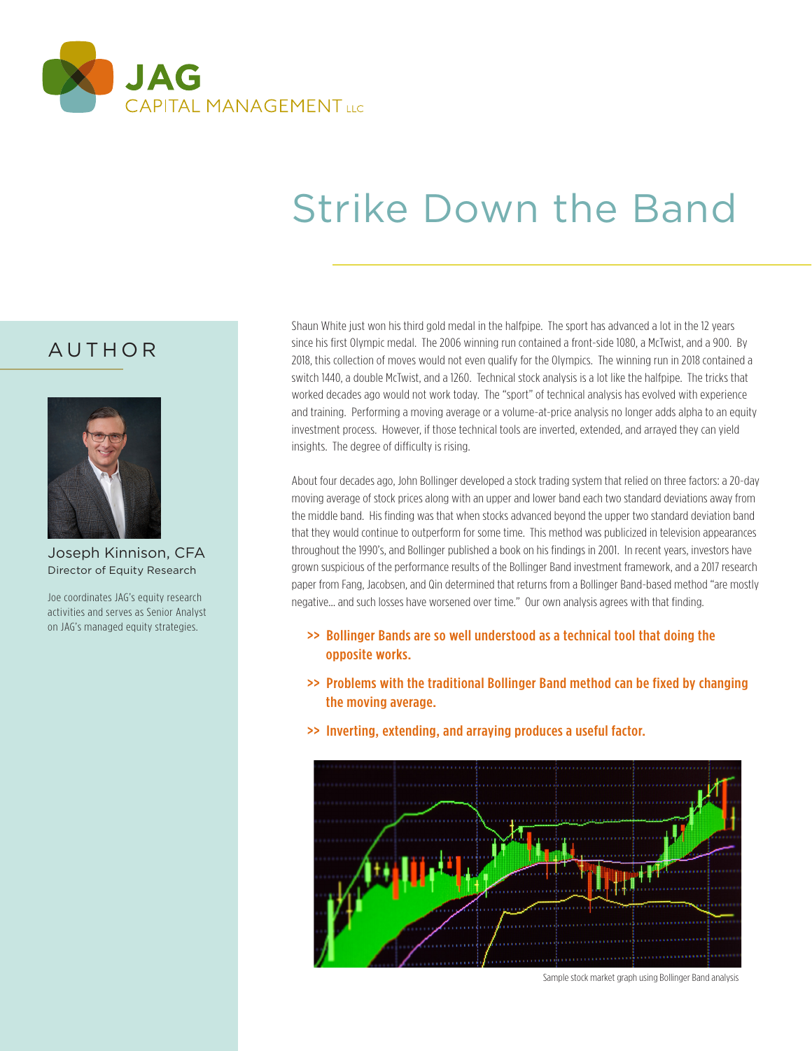

# Strike Down the Band

# AUTHOR



Joseph Kinnison, CFA Director of Equity Research

Joe coordinates JAG's equity research activities and serves as Senior Analyst on JAG's managed equity strategies.

Shaun White just won his third gold medal in the halfpipe. The sport has advanced a lot in the 12 years since his first Olympic medal. The 2006 winning run contained a front-side 1080, a McTwist, and a 900. By 2018, this collection of moves would not even qualify for the Olympics. The winning run in 2018 contained a switch 1440, a double McTwist, and a 1260. Technical stock analysis is a lot like the halfpipe. The tricks that worked decades ago would not work today. The "sport" of technical analysis has evolved with experience and training. Performing a moving average or a volume-at-price analysis no longer adds alpha to an equity investment process. However, if those technical tools are inverted, extended, and arrayed they can yield insights. The degree of difficulty is rising.

About four decades ago, John Bollinger developed a stock trading system that relied on three factors: a 20-day moving average of stock prices along with an upper and lower band each two standard deviations away from the middle band. His finding was that when stocks advanced beyond the upper two standard deviation band that they would continue to outperform for some time. This method was publicized in television appearances throughout the 1990's, and Bollinger published a book on his findings in 2001. In recent years, investors have grown suspicious of the performance results of the Bollinger Band investment framework, and a 2017 research paper from Fang, Jacobsen, and Qin determined that returns from a Bollinger Band-based method "are mostly negative… and such losses have worsened over time." Our own analysis agrees with that finding.

- >> Bollinger Bands are so well understood as a technical tool that doing the opposite works.
- >> Problems with the traditional Bollinger Band method can be fixed by changing the moving average.
- >> Inverting, extending, and arraying produces a useful factor.



Sample stock market graph using Bollinger Band analysis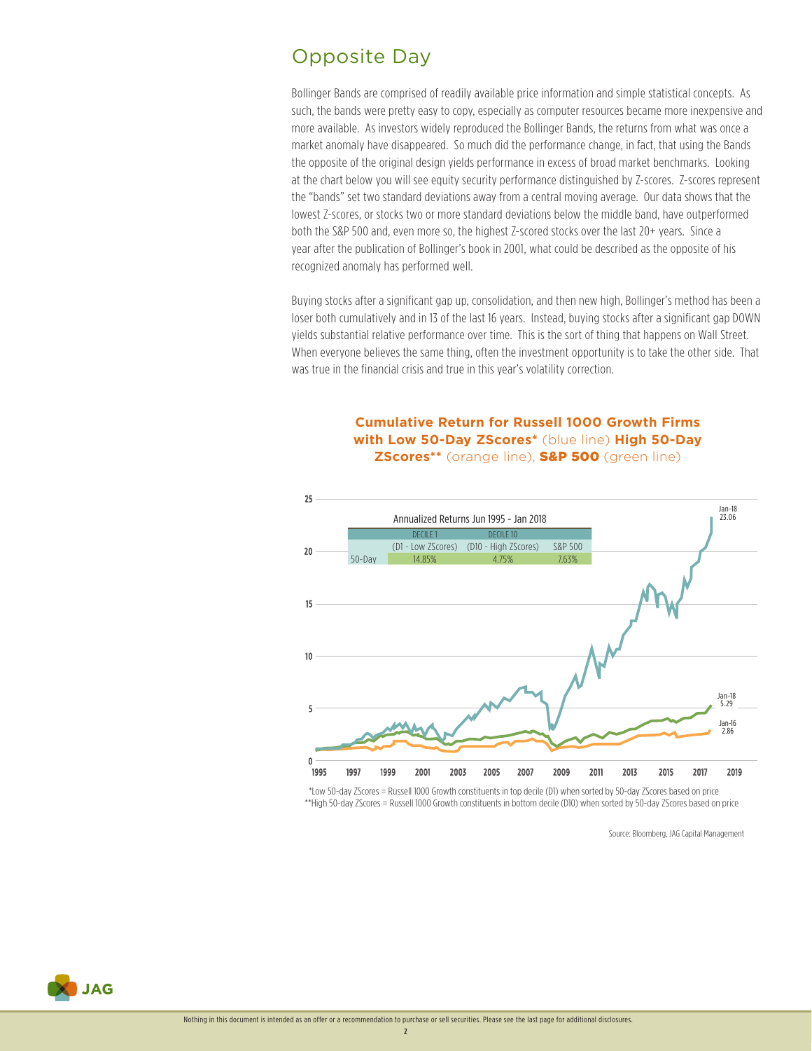# Opposite Day

Bollinger Bands are comprised of readily available price information and simple statistical concepts. As such, the bands were pretty easy to copy, especially as computer resources became more inexpensive and more available. As investors widely reproduced the Bollinger Bands, the returns from what was once a market anomaly have disappeared. So much did the performance change, in fact, that using the Bands the opposite of the original design yields performance in excess of broad market benchmarks. Looking at the chart below you will see equity security performance distinguished by Z-scores. Z-scores represent the "bands" set two standard deviations away from a central moving average. Our data shows that the lowest Z-scores, or stocks two or more standard deviations below the middle band, have outperformed both the S&P 500 and, even more so, the highest Z-scored stocks over the last 20+ years. Since a year after the publication of Bollinger's book in 2001, what could be described as the opposite of his recognized anomaly has performed well.

Buying stocks after a significant gap up, consolidation, and then new high, Bollinger's method has been a loser both cumulatively and in 13 of the last 16 years. Instead, buying stocks after a significant gap DOWN yields substantial relative performance over time. This is the sort of thing that happens on Wall Street. When everyone believes the same thing, often the investment opportunity is to take the other side. That was true in the financial crisis and true in this year's volatility correction.

#### **Cumulative Return for Russell 1000 Growth Firms with Low 50-Day ZScores\*** (blue line) **High 50-Day ZScores\*\*** (orange line), S&P 500 (green line)



 \*Low 50-day ZScores = Russell 1000 Growth constituents in top decile (D1) when sorted by 50-day ZScores based on price \*\*High 50-day ZScores = Russell 1000 Growth constituents in bottom decile (D10) when sorted by 50-day ZScores based on price

Source: Bloomberg, JAG Capital Management



 $\overline{\phantom{a}}$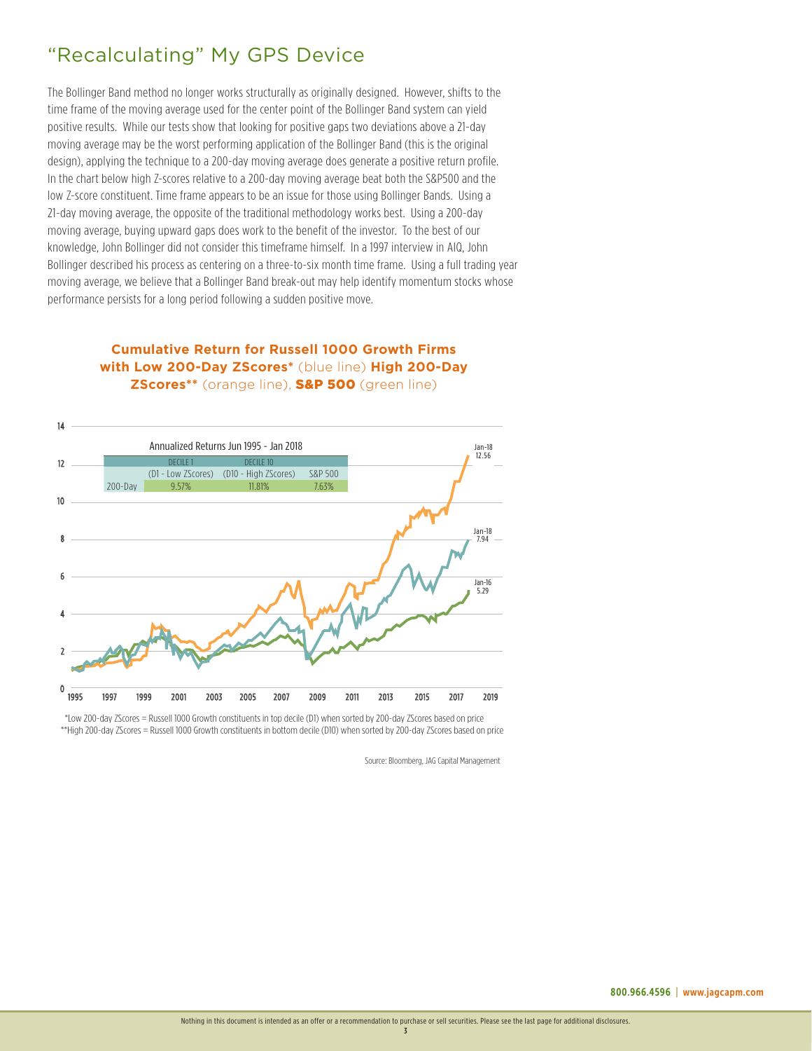# "Recalculating" My GPS Device

The Bollinger Band method no longer works structurally as originally designed. However, shifts to the time frame of the moving average used for the center point of the Bollinger Band system can yield positive results. While our tests show that looking for positive gaps two deviations above a 21-day moving average may be the worst performing application of the Bollinger Band (this is the original design), applying the technique to a 200-day moving average does generate a positive return profile. In the chart below high Z-scores relative to a 200-day moving average beat both the S&P500 and the low Z-score constituent. Time frame appears to be an issue for those using Bollinger Bands. Using a 21-day moving average, the opposite of the traditional methodology works best. Using a 200-day moving average, buying upward gaps does work to the benefit of the investor. To the best of our knowledge, John Bollinger did not consider this timeframe himself. In a 1997 interview in AIQ, John Bollinger described his process as centering on a three-to-six month time frame. Using a full trading year moving average, we believe that a Bollinger Band break-out may help identify momentum stocks whose performance persists for a long period following a sudden positive move.

**with Low 200-Day ZScores\*** (blue line) **High 200-Day ZScores\*\*** (orange line), S&P 500 (green line)

**Cumulative Return for Russell 1000 Growth Firms**



 \*Low 200-day ZScores = Russell 1000 Growth constituents in top decile (D1) when sorted by 200-day ZScores based on price \*\*High 200-day ZScores = Russell 1000 Growth constituents in bottom decile (D10) when sorted by 200-day ZScores based on price

Source: Bloomberg, JAG Capital Management

3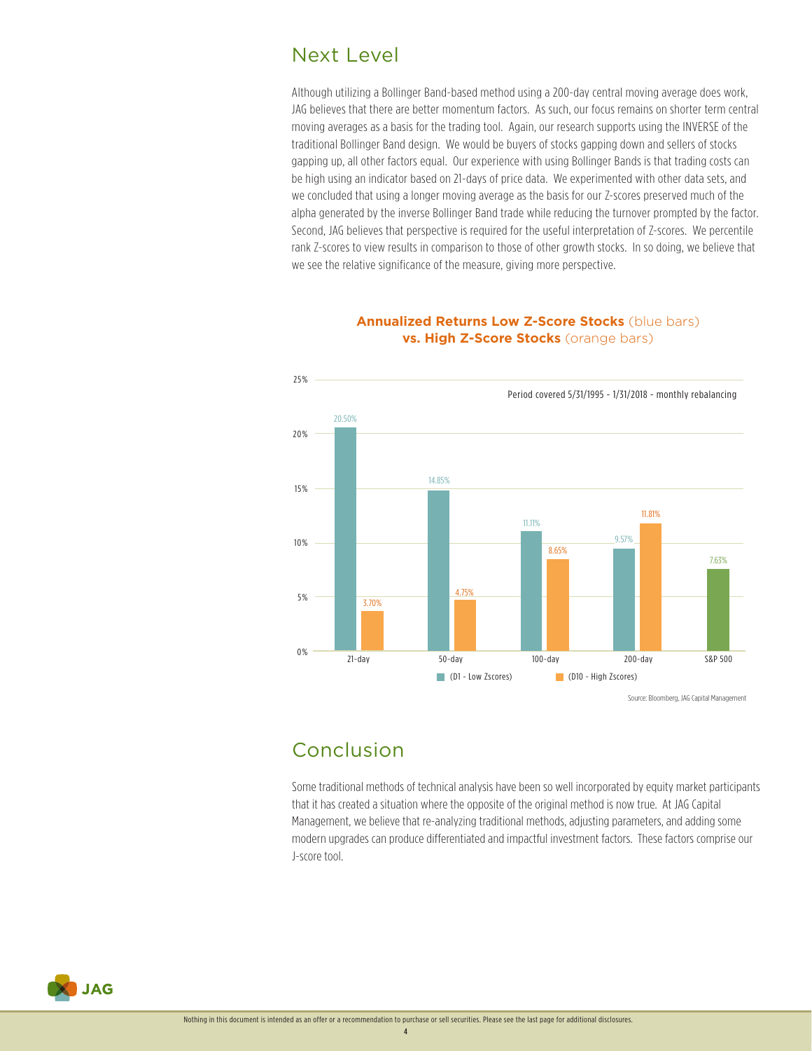## Next Level

Although utilizing a Bollinger Band-based method using a 200-day central moving average does work, JAG believes that there are better momentum factors. As such, our focus remains on shorter term central moving averages as a basis for the trading tool. Again, our research supports using the INVERSE of the traditional Bollinger Band design. We would be buyers of stocks gapping down and sellers of stocks gapping up, all other factors equal. Our experience with using Bollinger Bands is that trading costs can be high using an indicator based on 21-days of price data. We experimented with other data sets, and we concluded that using a longer moving average as the basis for our Z-scores preserved much of the alpha generated by the inverse Bollinger Band trade while reducing the turnover prompted by the factor. Second, JAG believes that perspective is required for the useful interpretation of Z-scores. We percentile rank Z-scores to view results in comparison to those of other growth stocks. In so doing, we believe that we see the relative significance of the measure, giving more perspective.



#### **Annualized Returns Low Z-Score Stocks** (blue bars) **vs. High Z-Score Stocks** (orange bars)

# Conclusion

Some traditional methods of technical analysis have been so well incorporated by equity market participants that it has created a situation where the opposite of the original method is now true. At JAG Capital Management, we believe that re-analyzing traditional methods, adjusting parameters, and adding some modern upgrades can produce differentiated and impactful investment factors. These factors comprise our J-score tool.



4